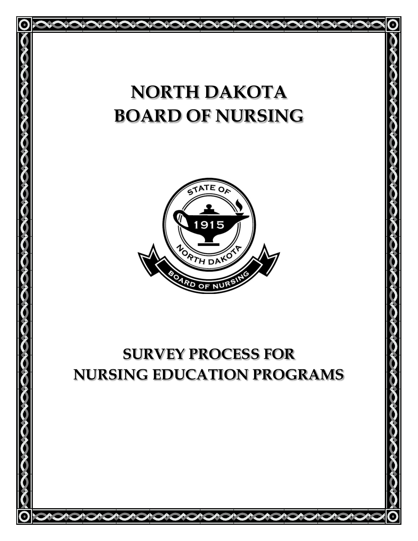# **NORTH DAKOTA BOARD OF NURSING**

<u>|</u>



# **SURVEY PROCESS FOR NURSING EDUCATION PROGRAMS**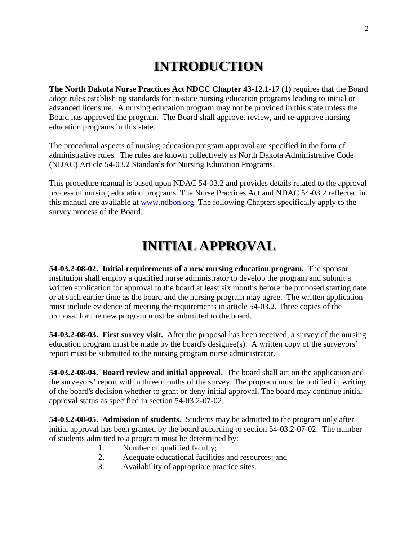### **INTRODUCTION**

**The North Dakota Nurse Practices Act NDCC Chapter 43-12.1-17 (1)** requires that the Board adopt rules establishing standards for in-state nursing education programs leading to initial or advanced licensure. A nursing education program may not be provided in this state unless the Board has approved the program. The Board shall approve, review, and re-approve nursing education programs in this state.

The procedural aspects of nursing education program approval are specified in the form of administrative rules. The rules are known collectively as North Dakota Administrative Code (NDAC) Article 54-03.2 Standards for Nursing Education Programs.

This procedure manual is based upon NDAC 54-03.2 and provides details related to the approval process of nursing education programs. The Nurse Practices Act and NDAC 54-03.2 reflected in this manual are available at [www.ndbon.org.](http://www.ndbon.org/) The following Chapters specifically apply to the survey process of the Board.

### **INITIAL APPROVAL**

**54-03.2-08-02. Initial requirements of a new nursing education program.** The sponsor institution shall employ a qualified nurse administrator to develop the program and submit a written application for approval to the board at least six months before the proposed starting date or at such earlier time as the board and the nursing program may agree. The written application must include evidence of meeting the requirements in article 54-03.2. Three copies of the proposal for the new program must be submitted to the board.

**54-03.2-08-03. First survey visit.** After the proposal has been received, a survey of the nursing education program must be made by the board's designee(s). A written copy of the surveyors' report must be submitted to the nursing program nurse administrator.

**54-03.2-08-04. Board review and initial approval.** The board shall act on the application and the surveyors' report within three months of the survey. The program must be notified in writing of the board's decision whether to grant or deny initial approval. The board may continue initial approval status as specified in section 54-03.2-07-02.

**54-03.2-08-05. Admission of students.** Students may be admitted to the program only after initial approval has been granted by the board according to section 54-03.2-07-02. The number of students admitted to a program must be determined by:

- 1. Number of qualified faculty;
- 2. Adequate educational facilities and resources; and
- 3. Availability of appropriate practice sites.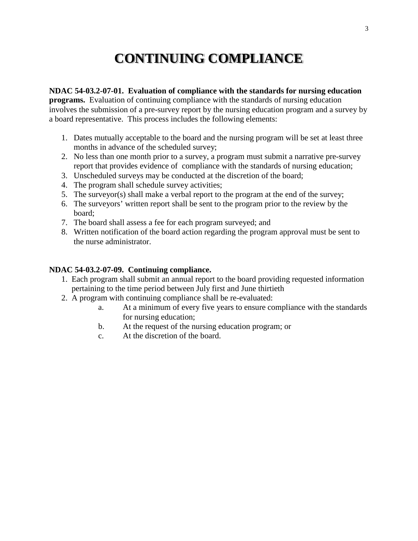# **CONTINUING COMPLIANCE**

#### **NDAC 54-03.2-07-01. Evaluation of compliance with the standards for nursing education**

**programs.** Evaluation of continuing compliance with the standards of nursing education involves the submission of a pre-survey report by the nursing education program and a survey by a board representative. This process includes the following elements:

- 1. Dates mutually acceptable to the board and the nursing program will be set at least three months in advance of the scheduled survey;
- 2. No less than one month prior to a survey, a program must submit a narrative pre-survey report that provides evidence of compliance with the standards of nursing education;
- 3. Unscheduled surveys may be conducted at the discretion of the board;
- 4. The program shall schedule survey activities;
- 5. The surveyor(s) shall make a verbal report to the program at the end of the survey;
- 6. The surveyors' written report shall be sent to the program prior to the review by the board;
- 7. The board shall assess a fee for each program surveyed; and
- 8. Written notification of the board action regarding the program approval must be sent to the nurse administrator.

#### **NDAC 54-03.2-07-09. Continuing compliance.**

- 1. Each program shall submit an annual report to the board providing requested information pertaining to the time period between July first and June thirtieth
- 2. A program with continuing compliance shall be re-evaluated:
	- a. At a minimum of every five years to ensure compliance with the standards for nursing education;
	- b. At the request of the nursing education program; or
	- c. At the discretion of the board.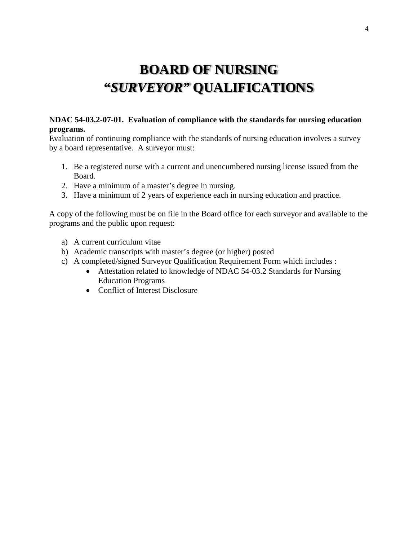# **BOARD OF NURSING "***SURVEYOR"* **QUALIFICATIONS**

#### **NDAC 54-03.2-07-01. Evaluation of compliance with the standards for nursing education programs.**

Evaluation of continuing compliance with the standards of nursing education involves a survey by a board representative. A surveyor must:

- 1. Be a registered nurse with a current and unencumbered nursing license issued from the Board.
- 2. Have a minimum of a master's degree in nursing.
- 3. Have a minimum of 2 years of experience each in nursing education and practice.

A copy of the following must be on file in the Board office for each surveyor and available to the programs and the public upon request:

- a) A current curriculum vitae
- b) Academic transcripts with master's degree (or higher) posted
- c) A completed/signed Surveyor Qualification Requirement Form which includes :
	- Attestation related to knowledge of NDAC 54-03.2 Standards for Nursing Education Programs
	- Conflict of Interest Disclosure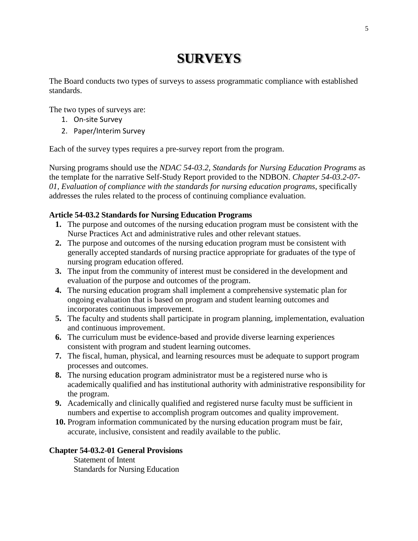# **SURVEYS**

The Board conducts two types of surveys to assess programmatic compliance with established standards.

The two types of surveys are:

- 1. On-site Survey
- 2. Paper/Interim Survey

Each of the survey types requires a pre-survey report from the program.

Nursing programs should use the *NDAC 54-03.2, Standards for Nursing Education Programs* as the template for the narrative Self-Study Report provided to the NDBON. *Chapter 54-03.2-07- 01, Evaluation of compliance with the standards for nursing education programs*, specifically addresses the rules related to the process of continuing compliance evaluation.

#### **Article 54-03.2 Standards for Nursing Education Programs**

- **1.** The purpose and outcomes of the nursing education program must be consistent with the Nurse Practices Act and administrative rules and other relevant statues.
- **2.** The purpose and outcomes of the nursing education program must be consistent with generally accepted standards of nursing practice appropriate for graduates of the type of nursing program education offered.
- **3.** The input from the community of interest must be considered in the development and evaluation of the purpose and outcomes of the program.
- **4.** The nursing education program shall implement a comprehensive systematic plan for ongoing evaluation that is based on program and student learning outcomes and incorporates continuous improvement.
- **5.** The faculty and students shall participate in program planning, implementation, evaluation and continuous improvement.
- **6.** The curriculum must be evidence-based and provide diverse learning experiences consistent with program and student learning outcomes.
- **7.** The fiscal, human, physical, and learning resources must be adequate to support program processes and outcomes.
- **8.** The nursing education program administrator must be a registered nurse who is academically qualified and has institutional authority with administrative responsibility for the program.
- **9.** Academically and clinically qualified and registered nurse faculty must be sufficient in numbers and expertise to accomplish program outcomes and quality improvement.
- **10.** Program information communicated by the nursing education program must be fair, accurate, inclusive, consistent and readily available to the public.

#### **Chapter 54-03.2-01 General Provisions**

Statement of Intent Standards for Nursing Education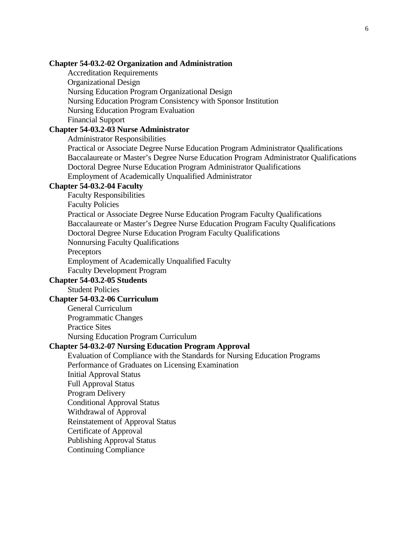#### **Chapter 54-03.2-02 Organization and Administration**

Accreditation Requirements Organizational Design Nursing Education Program Organizational Design Nursing Education Program Consistency with Sponsor Institution Nursing Education Program Evaluation Financial Support

#### **Chapter 54-03.2-03 Nurse Administrator**

Administrator Responsibilities

Practical or Associate Degree Nurse Education Program Administrator Qualifications Baccalaureate or Master's Degree Nurse Education Program Administrator Qualifications Doctoral Degree Nurse Education Program Administrator Qualifications Employment of Academically Unqualified Administrator

#### **Chapter 54-03.2-04 Faculty**

Faculty Responsibilities Faculty Policies Practical or Associate Degree Nurse Education Program Faculty Qualifications Baccalaureate or Master's Degree Nurse Education Program Faculty Qualifications Doctoral Degree Nurse Education Program Faculty Qualifications Nonnursing Faculty Qualifications **Preceptors** Employment of Academically Unqualified Faculty Faculty Development Program **Chapter 54-03.2-05 Students**

Student Policies

#### **Chapter 54-03.2-06 Curriculum**

General Curriculum

Programmatic Changes

Practice Sites

Nursing Education Program Curriculum

#### **Chapter 54-03.2-07 Nursing Education Program Approval**

Evaluation of Compliance with the Standards for Nursing Education Programs Performance of Graduates on Licensing Examination Initial Approval Status Full Approval Status Program Delivery Conditional Approval Status Withdrawal of Approval Reinstatement of Approval Status Certificate of Approval Publishing Approval Status Continuing Compliance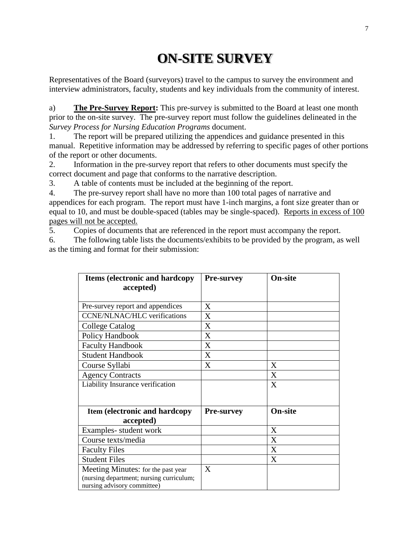# **ON-SITE SURVEY**

Representatives of the Board (surveyors) travel to the campus to survey the environment and interview administrators, faculty, students and key individuals from the community of interest.

a) **The Pre-Survey Report:** This pre-survey is submitted to the Board at least one month prior to the on-site survey. The pre-survey report must follow the guidelines delineated in the *Survey Process for Nursing Education Programs* document.

1. The report will be prepared utilizing the appendices and guidance presented in this manual. Repetitive information may be addressed by referring to specific pages of other portions of the report or other documents.

2. Information in the pre-survey report that refers to other documents must specify the correct document and page that conforms to the narrative description.

3. A table of contents must be included at the beginning of the report.

4. The pre-survey report shall have no more than 100 total pages of narrative and appendices for each program. The report must have 1-inch margins, a font size greater than or equal to 10, and must be double-spaced (tables may be single-spaced). Reports in excess of 100 pages will not be accepted.

5. Copies of documents that are referenced in the report must accompany the report.

6. The following table lists the documents/exhibits to be provided by the program, as well as the timing and format for their submission:

| <b>Items (electronic and hardcopy)</b>   | <b>Pre-survey</b> | On-site        |  |
|------------------------------------------|-------------------|----------------|--|
| accepted)                                |                   |                |  |
|                                          |                   |                |  |
| Pre-survey report and appendices         | X                 |                |  |
| <b>CCNE/NLNAC/HLC</b> verifications      | X                 |                |  |
| <b>College Catalog</b>                   | X                 |                |  |
| Policy Handbook                          | X                 |                |  |
| <b>Faculty Handbook</b>                  | X                 |                |  |
| <b>Student Handbook</b>                  | X                 |                |  |
| Course Syllabi                           | X                 | X              |  |
| <b>Agency Contracts</b>                  |                   | X              |  |
| Liability Insurance verification         |                   | X              |  |
|                                          |                   |                |  |
| Item (electronic and hardcopy            | <b>Pre-survey</b> | <b>On-site</b> |  |
| accepted)                                |                   |                |  |
| Examples-student work                    |                   | X              |  |
| Course texts/media                       |                   | X              |  |
| <b>Faculty Files</b>                     |                   | X              |  |
| <b>Student Files</b>                     |                   | X              |  |
| Meeting Minutes: for the past year       | X                 |                |  |
| (nursing department; nursing curriculum; |                   |                |  |
| nursing advisory committee)              |                   |                |  |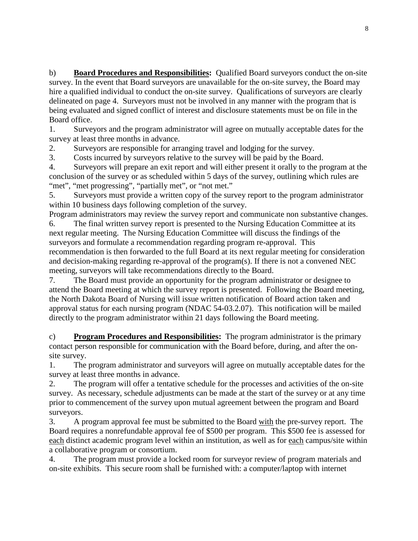b) **Board Procedures and Responsibilities:** Qualified Board surveyors conduct the on-site survey. In the event that Board surveyors are unavailable for the on-site survey, the Board may hire a qualified individual to conduct the on-site survey. Qualifications of surveyors are clearly delineated on page 4. Surveyors must not be involved in any manner with the program that is being evaluated and signed conflict of interest and disclosure statements must be on file in the Board office.

1. Surveyors and the program administrator will agree on mutually acceptable dates for the survey at least three months in advance.

2. Surveyors are responsible for arranging travel and lodging for the survey.

3. Costs incurred by surveyors relative to the survey will be paid by the Board.

4. Surveyors will prepare an exit report and will either present it orally to the program at the conclusion of the survey or as scheduled within 5 days of the survey, outlining which rules are "met", "met progressing", "partially met", or "not met."

5. Surveyors must provide a written copy of the survey report to the program administrator within 10 business days following completion of the survey.

Program administrators may review the survey report and communicate non substantive changes. 6. The final written survey report is presented to the Nursing Education Committee at its

next regular meeting. The Nursing Education Committee will discuss the findings of the surveyors and formulate a recommendation regarding program re-approval. This recommendation is then forwarded to the full Board at its next regular meeting for consideration and decision-making regarding re-approval of the program(s). If there is not a convened NEC meeting, surveyors will take recommendations directly to the Board.

7. The Board must provide an opportunity for the program administrator or designee to attend the Board meeting at which the survey report is presented. Following the Board meeting, the North Dakota Board of Nursing will issue written notification of Board action taken and approval status for each nursing program (NDAC 54-03.2.07). This notification will be mailed directly to the program administrator within 21 days following the Board meeting.

c) **Program Procedures and Responsibilities:** The program administrator is the primary contact person responsible for communication with the Board before, during, and after the onsite survey.

1. The program administrator and surveyors will agree on mutually acceptable dates for the survey at least three months in advance.

2. The program will offer a tentative schedule for the processes and activities of the on-site survey. As necessary, schedule adjustments can be made at the start of the survey or at any time prior to commencement of the survey upon mutual agreement between the program and Board surveyors.

3. A program approval fee must be submitted to the Board with the pre-survey report. The Board requires a nonrefundable approval fee of \$500 per program. This \$500 fee is assessed for each distinct academic program level within an institution, as well as for each campus/site within a collaborative program or consortium.

4. The program must provide a locked room for surveyor review of program materials and on-site exhibits. This secure room shall be furnished with: a computer/laptop with internet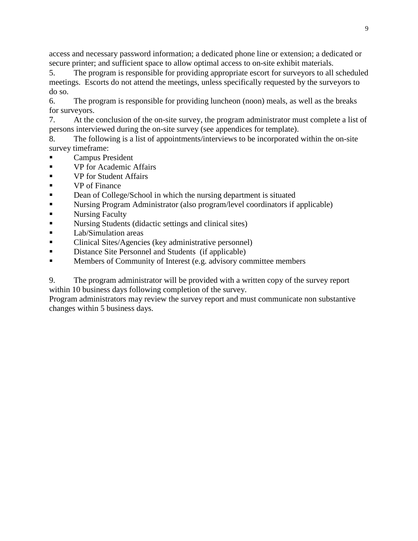access and necessary password information; a dedicated phone line or extension; a dedicated or secure printer; and sufficient space to allow optimal access to on-site exhibit materials.

5. The program is responsible for providing appropriate escort for surveyors to all scheduled meetings. Escorts do not attend the meetings, unless specifically requested by the surveyors to do so.

6. The program is responsible for providing luncheon (noon) meals, as well as the breaks for surveyors.

7. At the conclusion of the on-site survey, the program administrator must complete a list of persons interviewed during the on-site survey (see appendices for template).

8. The following is a list of appointments/interviews to be incorporated within the on-site survey timeframe:

- Campus President
- **vectary** VP for Academic Affairs
- **v**P for Student Affairs
- **ve** of Finance
- Dean of College/School in which the nursing department is situated
- Nursing Program Administrator (also program/level coordinators if applicable)
- **Nursing Faculty**
- **Nursing Students (didactic settings and clinical sites)**
- **Lab/Simulation areas**
- Clinical Sites/Agencies (key administrative personnel)
- Distance Site Personnel and Students (if applicable)
- **Members of Community of Interest (e.g. advisory committee members**

9. The program administrator will be provided with a written copy of the survey report within 10 business days following completion of the survey.

Program administrators may review the survey report and must communicate non substantive changes within 5 business days.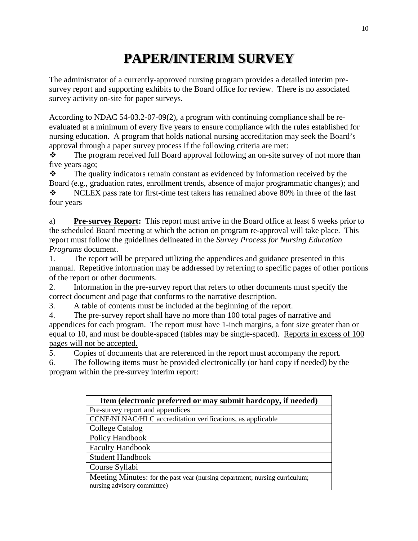# **PAPER/INTERIM SURVEY**

The administrator of a currently-approved nursing program provides a detailed interim presurvey report and supporting exhibits to the Board office for review. There is no associated survey activity on-site for paper surveys.

According to NDAC 54-03.2-07-09(2), a program with continuing compliance shall be reevaluated at a minimum of every five years to ensure compliance with the rules established for nursing education. A program that holds national nursing accreditation may seek the Board's approval through a paper survey process if the following criteria are met:

\* The program received full Board approval following an on-site survey of not more than five years ago;

 The quality indicators remain constant as evidenced by information received by the Board (e.g., graduation rates, enrollment trends, absence of major programmatic changes); and

 $\div$  NCLEX pass rate for first-time test takers has remained above 80% in three of the last four years

a) **Pre-survey Report:** This report must arrive in the Board office at least 6 weeks prior to the scheduled Board meeting at which the action on program re-approval will take place. This report must follow the guidelines delineated in the *Survey Process for Nursing Education Programs* document.

1. The report will be prepared utilizing the appendices and guidance presented in this manual. Repetitive information may be addressed by referring to specific pages of other portions of the report or other documents.

2. Information in the pre-survey report that refers to other documents must specify the correct document and page that conforms to the narrative description.

3. A table of contents must be included at the beginning of the report.

4. The pre-survey report shall have no more than 100 total pages of narrative and appendices for each program. The report must have 1-inch margins, a font size greater than or equal to 10, and must be double-spaced (tables may be single-spaced). Reports in excess of 100 pages will not be accepted.

5. Copies of documents that are referenced in the report must accompany the report.

6. The following items must be provided electronically (or hard copy if needed) by the program within the pre-survey interim report:

| Item (electronic preferred or may submit hardcopy, if needed)               |  |  |
|-----------------------------------------------------------------------------|--|--|
| Pre-survey report and appendices                                            |  |  |
| CCNE/NLNAC/HLC accreditation verifications, as applicable                   |  |  |
| College Catalog                                                             |  |  |
| Policy Handbook                                                             |  |  |
| <b>Faculty Handbook</b>                                                     |  |  |
| <b>Student Handbook</b>                                                     |  |  |
| Course Syllabi                                                              |  |  |
| Meeting Minutes: for the past year (nursing department; nursing curriculum; |  |  |
| nursing advisory committee)                                                 |  |  |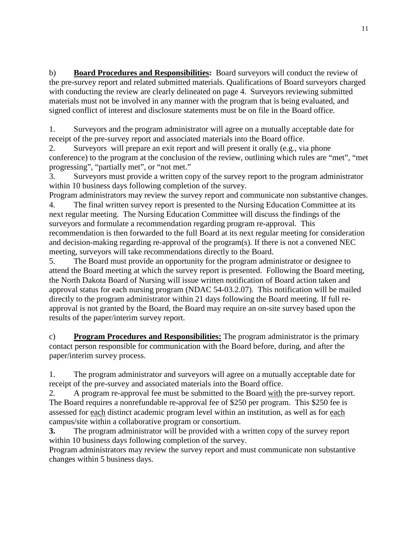b) **Board Procedures and Responsibilities:** Board surveyors will conduct the review of the pre-survey report and related submitted materials. Qualifications of Board surveyors charged with conducting the review are clearly delineated on page 4. Surveyors reviewing submitted materials must not be involved in any manner with the program that is being evaluated, and signed conflict of interest and disclosure statements must be on file in the Board office.

1. Surveyors and the program administrator will agree on a mutually acceptable date for receipt of the pre-survey report and associated materials into the Board office.

2. Surveyors will prepare an exit report and will present it orally (e.g., via phone conference) to the program at the conclusion of the review, outlining which rules are "met", "met progressing", "partially met", or "not met."

3. Surveyors must provide a written copy of the survey report to the program administrator within 10 business days following completion of the survey.

Program administrators may review the survey report and communicate non substantive changes. 4. The final written survey report is presented to the Nursing Education Committee at its next regular meeting. The Nursing Education Committee will discuss the findings of the surveyors and formulate a recommendation regarding program re-approval. This recommendation is then forwarded to the full Board at its next regular meeting for consideration and decision-making regarding re-approval of the program(s). If there is not a convened NEC meeting, surveyors will take recommendations directly to the Board.

5. The Board must provide an opportunity for the program administrator or designee to attend the Board meeting at which the survey report is presented. Following the Board meeting, the North Dakota Board of Nursing will issue written notification of Board action taken and approval status for each nursing program (NDAC 54-03.2.07). This notification will be mailed directly to the program administrator within 21 days following the Board meeting. If full reapproval is not granted by the Board, the Board may require an on-site survey based upon the results of the paper/interim survey report.

c) **Program Procedures and Responsibilities:** The program administrator is the primary contact person responsible for communication with the Board before, during, and after the paper/interim survey process.

1. The program administrator and surveyors will agree on a mutually acceptable date for receipt of the pre-survey and associated materials into the Board office.

2. A program re-approval fee must be submitted to the Board with the pre-survey report. The Board requires a nonrefundable re-approval fee of \$250 per program. This \$250 fee is assessed for each distinct academic program level within an institution, as well as for each campus/site within a collaborative program or consortium.

**3.** The program administrator will be provided with a written copy of the survey report within 10 business days following completion of the survey.

Program administrators may review the survey report and must communicate non substantive changes within 5 business days.